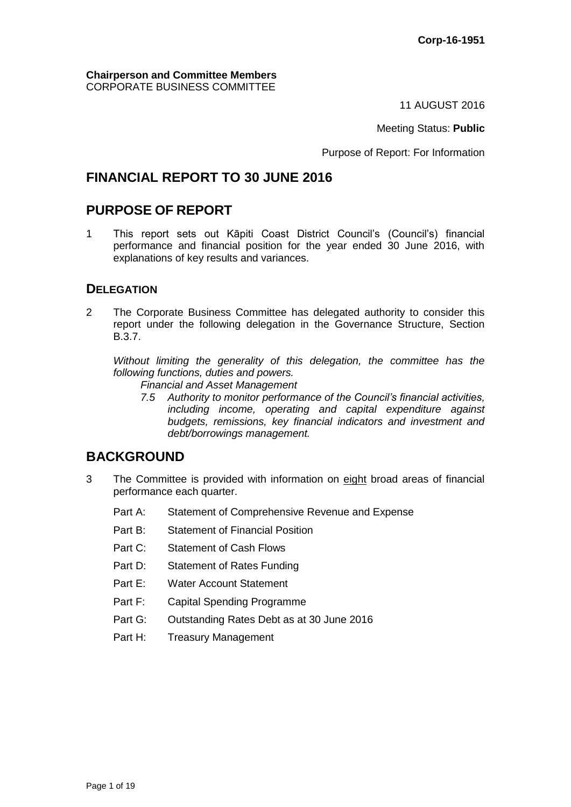**Chairperson and Committee Members** CORPORATE BUSINESS COMMITTEE

11 AUGUST 2016

Meeting Status: **Public**

Purpose of Report: For Information

# **FINANCIAL REPORT TO 30 JUNE 2016**

# **PURPOSE OF REPORT**

1 This report sets out Kāpiti Coast District Council's (Council's) financial performance and financial position for the year ended 30 June 2016, with explanations of key results and variances.

## **DELEGATION**

2 The Corporate Business Committee has delegated authority to consider this report under the following delegation in the Governance Structure, Section B.3.7.

*Without limiting the generality of this delegation, the committee has the following functions, duties and powers.*

*Financial and Asset Management*

*7.5 Authority to monitor performance of the Council's financial activities, including income, operating and capital expenditure against budgets, remissions, key financial indicators and investment and debt/borrowings management.*

# **BACKGROUND**

- 3 The Committee is provided with information on eight broad areas of financial performance each quarter.
	- Part A: Statement of Comprehensive Revenue and Expense
	- Part B: Statement of Financial Position
	- Part C: Statement of Cash Flows
	- Part D: Statement of Rates Funding
	- Part E: Water Account Statement
	- Part F: Capital Spending Programme
	- Part G: Outstanding Rates Debt as at 30 June 2016
	- Part H: Treasury Management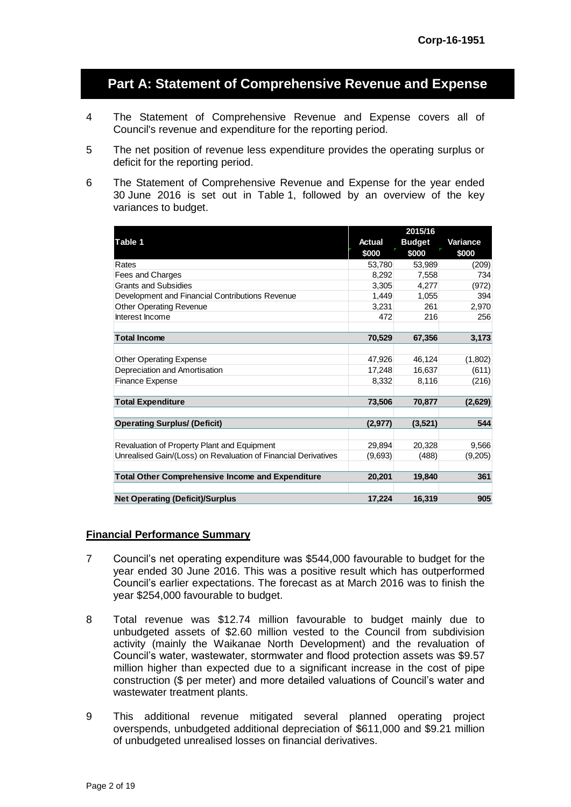# **Part A: Statement of Comprehensive Revenue and Expense**

- 4 The Statement of Comprehensive Revenue and Expense covers all of Council's revenue and expenditure for the reporting period.
- 5 The net position of revenue less expenditure provides the operating surplus or deficit for the reporting period.
- 6 The Statement of Comprehensive Revenue and Expense for the year ended 30 June 2016 is set out in Table 1, followed by an overview of the key variances to budget.

|                                                                                                                                                                                                                                                                                                                                                                                                                                                                                                                      |               | 2015/16       |          |
|----------------------------------------------------------------------------------------------------------------------------------------------------------------------------------------------------------------------------------------------------------------------------------------------------------------------------------------------------------------------------------------------------------------------------------------------------------------------------------------------------------------------|---------------|---------------|----------|
| Table 1                                                                                                                                                                                                                                                                                                                                                                                                                                                                                                              | <b>Actual</b> | <b>Budget</b> | Variance |
|                                                                                                                                                                                                                                                                                                                                                                                                                                                                                                                      | \$000         | \$000         | \$000    |
| Rates                                                                                                                                                                                                                                                                                                                                                                                                                                                                                                                | 53,780        | 53,989        | (209)    |
| Fees and Charges                                                                                                                                                                                                                                                                                                                                                                                                                                                                                                     | 8,292         | 7,558         | 734      |
| <b>Grants and Subsidies</b>                                                                                                                                                                                                                                                                                                                                                                                                                                                                                          | 3,305         | 4,277         | (972)    |
| Development and Financial Contributions Revenue                                                                                                                                                                                                                                                                                                                                                                                                                                                                      | 1,449         | 1,055         | 394      |
| <b>Other Operating Revenue</b>                                                                                                                                                                                                                                                                                                                                                                                                                                                                                       | 3,231         | 261           | 2,970    |
| Interest Income                                                                                                                                                                                                                                                                                                                                                                                                                                                                                                      | 472           | 216           | 256      |
| <b>Total Income</b>                                                                                                                                                                                                                                                                                                                                                                                                                                                                                                  | 70,529        | 67,356        | 3,173    |
|                                                                                                                                                                                                                                                                                                                                                                                                                                                                                                                      |               |               |          |
| <b>Other Operating Expense</b>                                                                                                                                                                                                                                                                                                                                                                                                                                                                                       | 47,926        | 46,124        | (1,802)  |
| Depreciation and Amortisation                                                                                                                                                                                                                                                                                                                                                                                                                                                                                        | 17,248        | 16,637        | (611)    |
| Finance Expense                                                                                                                                                                                                                                                                                                                                                                                                                                                                                                      | 8,332         | 8,116         | (216)    |
|                                                                                                                                                                                                                                                                                                                                                                                                                                                                                                                      |               |               |          |
| <b>Total Expenditure</b>                                                                                                                                                                                                                                                                                                                                                                                                                                                                                             | 73,506        | 70,877        | (2,629)  |
|                                                                                                                                                                                                                                                                                                                                                                                                                                                                                                                      |               |               |          |
| <b>Operating Surplus/ (Deficit)</b>                                                                                                                                                                                                                                                                                                                                                                                                                                                                                  | (2, 977)      | (3,521)       | 544      |
|                                                                                                                                                                                                                                                                                                                                                                                                                                                                                                                      |               |               |          |
| Revaluation of Property Plant and Equipment                                                                                                                                                                                                                                                                                                                                                                                                                                                                          | 29,894        | 20,328        | 9,566    |
| Unrealised Gain/(Loss) on Revaluation of Financial Derivatives                                                                                                                                                                                                                                                                                                                                                                                                                                                       | (9,693)       | (488)         | (9,205)  |
|                                                                                                                                                                                                                                                                                                                                                                                                                                                                                                                      |               |               |          |
| <b>Total Other Comprehensive Income and Expenditure</b>                                                                                                                                                                                                                                                                                                                                                                                                                                                              | 20,201        | 19,840        | 361      |
|                                                                                                                                                                                                                                                                                                                                                                                                                                                                                                                      |               |               |          |
| <b>Net Operating (Deficit)/Surplus</b>                                                                                                                                                                                                                                                                                                                                                                                                                                                                               | 17,224        | 16,319        | 905      |
| <u>ncial Performance Summary</u><br>Council's net operating expenditure was \$544,000 favourable to budget for the<br>year ended 30 June 2016. This was a positive result which has outperformed<br>Council's earlier expectations. The forecast as at March 2016 was to finish the<br>year \$254,000 favourable to budget.                                                                                                                                                                                          |               |               |          |
| Total revenue was \$12.74 million favourable to budget mainly due to<br>unbudgeted assets of \$2.60 million vested to the Council from subdivision<br>activity (mainly the Waikanae North Development) and the revaluation of<br>Council's water, wastewater, stormwater and flood protection assets was \$9.57<br>million higher than expected due to a significant increase in the cost of pipe<br>construction (\$ per meter) and more detailed valuations of Council's water and<br>wastewater treatment plants. |               |               |          |
| mitigated several planned<br><b>This</b><br>additional<br>revenue<br>operating<br>project<br>overspends, unbudgeted additional depreciation of \$611,000 and \$9.21 million<br>of unbudgeted unrealised losses on financial derivatives.                                                                                                                                                                                                                                                                             |               |               |          |

#### **Financial Performance Summary**

- 7 Council's net operating expenditure was \$544,000 favourable to budget for the year ended 30 June 2016. This was a positive result which has outperformed Council's earlier expectations. The forecast as at March 2016 was to finish the year \$254,000 favourable to budget.
- 8 Total revenue was \$12.74 million favourable to budget mainly due to unbudgeted assets of \$2.60 million vested to the Council from subdivision activity (mainly the Waikanae North Development) and the revaluation of Council's water, wastewater, stormwater and flood protection assets was \$9.57 million higher than expected due to a significant increase in the cost of pipe construction (\$ per meter) and more detailed valuations of Council's water and wastewater treatment plants.
- 9 This additional revenue mitigated several planned operating project overspends, unbudgeted additional depreciation of \$611,000 and \$9.21 million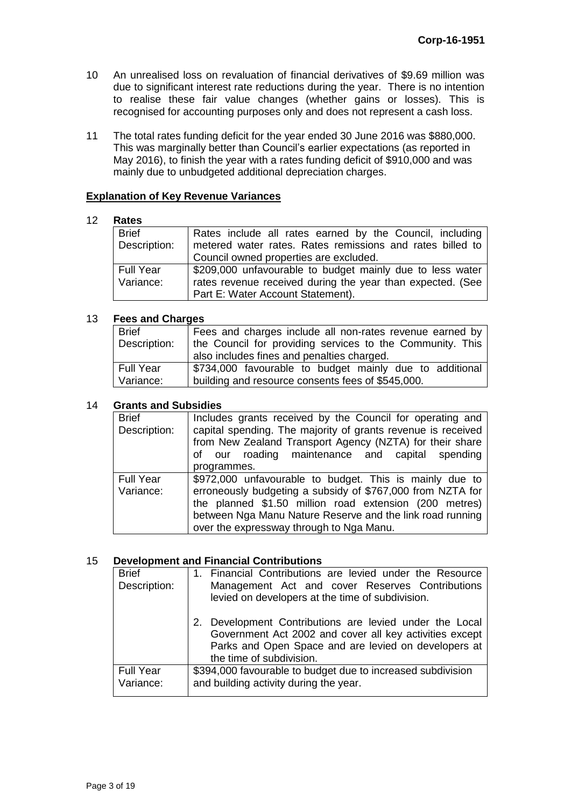- 10 An unrealised loss on revaluation of financial derivatives of \$9.69 million was due to significant interest rate reductions during the year. There is no intention to realise these fair value changes (whether gains or losses). This is recognised for accounting purposes only and does not represent a cash loss.
- 11 The total rates funding deficit for the year ended 30 June 2016 was \$880,000. This was marginally better than Council's earlier expectations (as reported in May 2016), to finish the year with a rates funding deficit of \$910,000 and was mainly due to unbudgeted additional depreciation charges.

#### **Explanation of Key Revenue Variances**

#### 12 **Rates**

| <b>Brief</b>     | Rates include all rates earned by the Council, including   |
|------------------|------------------------------------------------------------|
| Description:     | metered water rates. Rates remissions and rates billed to  |
|                  | Council owned properties are excluded.                     |
| <b>Full Year</b> | \$209,000 unfavourable to budget mainly due to less water  |
| Variance:        | rates revenue received during the year than expected. (See |
|                  | Part E: Water Account Statement).                          |

#### 13 **Fees and Charges**

| <b>Brief</b> | Fees and charges include all non-rates revenue earned by  |
|--------------|-----------------------------------------------------------|
| Description: | the Council for providing services to the Community. This |
|              | also includes fines and penalties charged.                |
| Full Year    | \$734,000 favourable to budget mainly due to additional   |
| Variance:    | building and resource consents fees of \$545,000.         |

#### 14 **Grants and Subsidies**

| <b>Brief</b><br>Description:  | Includes grants received by the Council for operating and<br>capital spending. The majority of grants revenue is received<br>from New Zealand Transport Agency (NZTA) for their share<br>of our roading maintenance and capital spending<br>programmes.                                  |
|-------------------------------|------------------------------------------------------------------------------------------------------------------------------------------------------------------------------------------------------------------------------------------------------------------------------------------|
| <b>Full Year</b><br>Variance: | \$972,000 unfavourable to budget. This is mainly due to<br>erroneously budgeting a subsidy of \$767,000 from NZTA for<br>the planned \$1.50 million road extension (200 metres)<br>between Nga Manu Nature Reserve and the link road running<br>over the expressway through to Nga Manu. |

#### 15 **Development and Financial Contributions**

| <b>Brief</b><br>Description:  | 1. Financial Contributions are levied under the Resource<br>Management Act and cover Reserves Contributions        |
|-------------------------------|--------------------------------------------------------------------------------------------------------------------|
|                               | levied on developers at the time of subdivision.                                                                   |
|                               | 2. Development Contributions are levied under the Local<br>Government Act 2002 and cover all key activities except |
|                               | Parks and Open Space and are levied on developers at<br>the time of subdivision.                                   |
| <b>Full Year</b><br>Variance: | \$394,000 favourable to budget due to increased subdivision<br>and building activity during the year.              |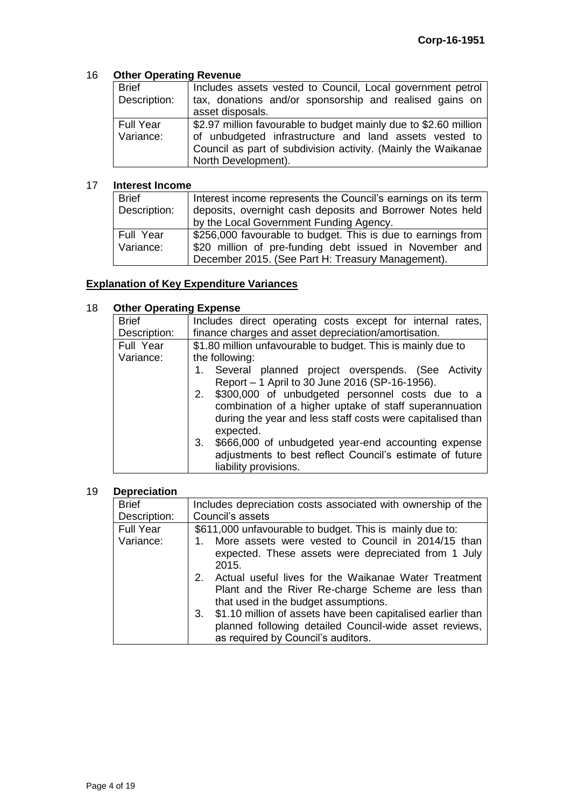## 16 **Other Operating Revenue**

| <b>Brief</b><br>Description: | Includes assets vested to Council, Local government petrol<br>tax, donations and/or sponsorship and realised gains on |
|------------------------------|-----------------------------------------------------------------------------------------------------------------------|
|                              | asset disposals.                                                                                                      |
| <b>Full Year</b>             | \$2.97 million favourable to budget mainly due to \$2.60 million                                                      |
| Variance:                    | of unbudgeted infrastructure and land assets vested to                                                                |
|                              | Council as part of subdivision activity. (Mainly the Waikanae                                                         |
|                              | North Development).                                                                                                   |

## 17 **Interest Income**

| <b>Brief</b> | Interest income represents the Council's earnings on its term |
|--------------|---------------------------------------------------------------|
| Description: | deposits, overnight cash deposits and Borrower Notes held     |
|              | by the Local Government Funding Agency.                       |
| Full Year    | \$256,000 favourable to budget. This is due to earnings from  |
| Variance:    | \$20 million of pre-funding debt issued in November and       |
|              | December 2015. (See Part H: Treasury Management).             |

## **Explanation of Key Expenditure Variances**

## 18 **Other Operating Expense**

| <b>Brief</b> | Includes direct operating costs except for internal rates,   |
|--------------|--------------------------------------------------------------|
| Description: | finance charges and asset depreciation/amortisation.         |
| Full Year    | \$1.80 million unfavourable to budget. This is mainly due to |
| Variance:    | the following:                                               |
|              | Several planned project overspends. (See Activity<br>1.      |
|              | Report - 1 April to 30 June 2016 (SP-16-1956).               |
|              | \$300,000 of unbudgeted personnel costs due to a<br>2.       |
|              | combination of a higher uptake of staff superannuation       |
|              | during the year and less staff costs were capitalised than   |
|              | expected.                                                    |
|              | \$666,000 of unbudgeted year-end accounting expense<br>3.    |
|              | adjustments to best reflect Council's estimate of future     |
|              | liability provisions.                                        |
|              |                                                              |

## 19 **Depreciation**

| <b>Brief</b>     | Includes depreciation costs associated with ownership of the                                                                                                      |
|------------------|-------------------------------------------------------------------------------------------------------------------------------------------------------------------|
| Description:     | Council's assets                                                                                                                                                  |
| <b>Full Year</b> | \$611,000 unfavourable to budget. This is mainly due to:                                                                                                          |
| Variance:        | More assets were vested to Council in 2014/15 than<br>expected. These assets were depreciated from 1 July<br>2015.                                                |
|                  | 2. Actual useful lives for the Waikanae Water Treatment<br>Plant and the River Re-charge Scheme are less than<br>that used in the budget assumptions.             |
|                  | \$1.10 million of assets have been capitalised earlier than<br>3.<br>planned following detailed Council-wide asset reviews,<br>as required by Council's auditors. |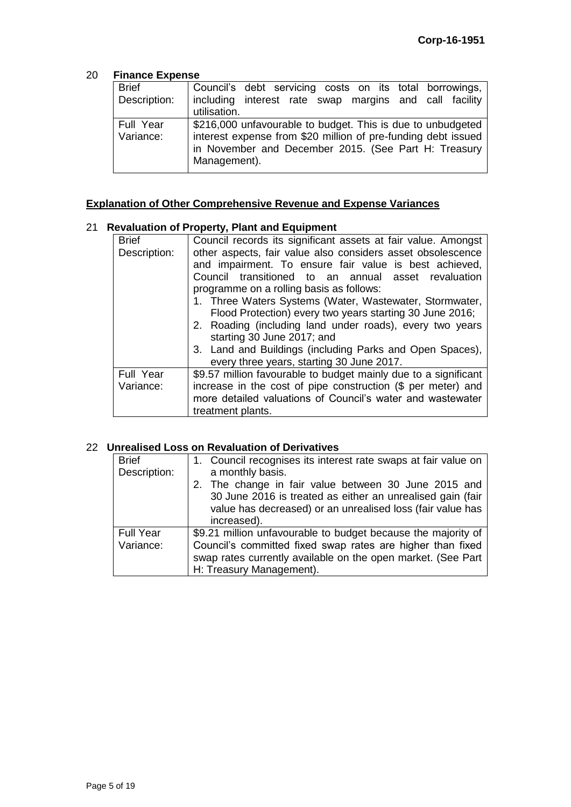#### 20 **Finance Expense**

| <b>Brief</b> | Council's debt servicing costs on its total borrowings,       |
|--------------|---------------------------------------------------------------|
| Description: | including interest rate swap margins and call facility        |
|              | utilisation.                                                  |
| Full Year    | \$216,000 unfavourable to budget. This is due to unbudgeted   |
| Variance:    | interest expense from \$20 million of pre-funding debt issued |
|              | in November and December 2015. (See Part H: Treasury          |
|              | Management).                                                  |

# **Explanation of Other Comprehensive Revenue and Expense Variances**

## 21 **Revaluation of Property, Plant and Equipment**

| <b>Brief</b> | Council records its significant assets at fair value. Amongst   |
|--------------|-----------------------------------------------------------------|
| Description: | other aspects, fair value also considers asset obsolescence     |
|              | and impairment. To ensure fair value is best achieved,          |
|              | Council transitioned to an annual asset revaluation             |
|              | programme on a rolling basis as follows:                        |
|              | 1. Three Waters Systems (Water, Wastewater, Stormwater,         |
|              | Flood Protection) every two years starting 30 June 2016;        |
|              | 2. Roading (including land under roads), every two years        |
|              | starting 30 June 2017; and                                      |
|              | 3. Land and Buildings (including Parks and Open Spaces),        |
|              | every three years, starting 30 June 2017.                       |
| Full Year    | \$9.57 million favourable to budget mainly due to a significant |
| Variance:    | increase in the cost of pipe construction (\$ per meter) and    |
|              | more detailed valuations of Council's water and wastewater      |
|              | treatment plants.                                               |

## 22 **Unrealised Loss on Revaluation of Derivatives**

| <b>Brief</b>     | 1. Council recognises its interest rate swaps at fair value on |
|------------------|----------------------------------------------------------------|
| Description:     | a monthly basis.                                               |
|                  | 2. The change in fair value between 30 June 2015 and           |
|                  | 30 June 2016 is treated as either an unrealised gain (fair     |
|                  | value has decreased) or an unrealised loss (fair value has     |
|                  | increased).                                                    |
| <b>Full Year</b> | \$9.21 million unfavourable to budget because the majority of  |
| Variance:        | Council's committed fixed swap rates are higher than fixed     |
|                  | swap rates currently available on the open market. (See Part   |
|                  | H: Treasury Management).                                       |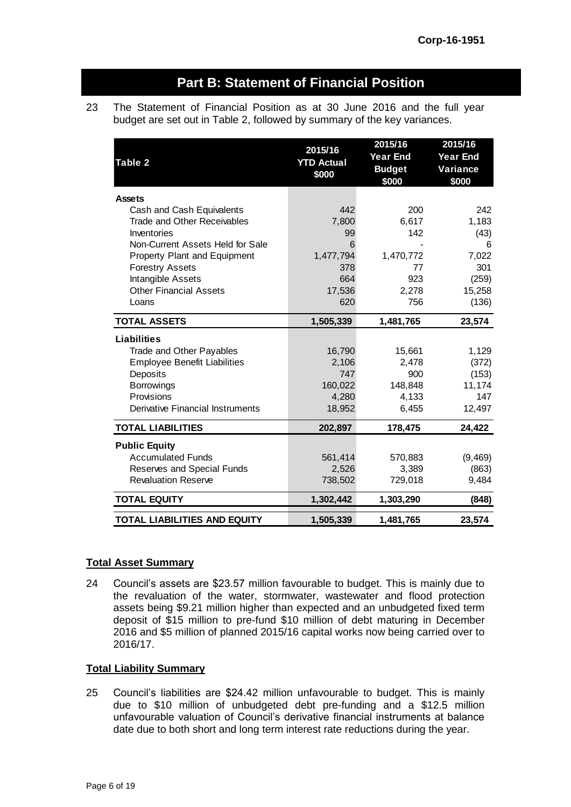# **Part B: Statement of Financial Position**

23 The Statement of Financial Position as at 30 June 2016 and the full year budget are set out in Table 2, followed by summary of the key variances.

| Table 2                             | 2015/16<br><b>YTD Actual</b><br>\$000 | 2015/16<br><b>Year End</b><br><b>Budget</b><br>\$000 | 2015/16<br><b>Year End</b><br>Variance<br>\$000 |
|-------------------------------------|---------------------------------------|------------------------------------------------------|-------------------------------------------------|
| <b>Assets</b>                       |                                       |                                                      |                                                 |
| Cash and Cash Equivalents           | 442                                   | 200                                                  | 242                                             |
| <b>Trade and Other Receivables</b>  | 7,800                                 | 6,617                                                | 1,183                                           |
| Inventories                         | 99                                    | 142                                                  | (43)                                            |
| Non-Current Assets Held for Sale    | 6                                     |                                                      | 6                                               |
| Property Plant and Equipment        | 1,477,794                             | 1,470,772                                            | 7,022                                           |
| <b>Forestry Assets</b>              | 378                                   | 77                                                   | 301                                             |
| Intangible Assets                   | 664                                   | 923                                                  | (259)                                           |
| <b>Other Financial Assets</b>       | 17,536                                | 2,278                                                | 15,258                                          |
| Loans                               | 620                                   | 756                                                  | (136)                                           |
| <b>TOTAL ASSETS</b>                 | 1,505,339                             | 1,481,765                                            | 23,574                                          |
| Liabilities                         |                                       |                                                      |                                                 |
| Trade and Other Payables            | 16,790                                | 15,661                                               | 1,129                                           |
| <b>Employee Benefit Liabilities</b> | 2,106                                 | 2,478                                                | (372)                                           |
| Deposits                            | 747                                   | 900                                                  | (153)                                           |
| Borrowings                          | 160,022                               | 148,848                                              | 11,174                                          |
| Provisions                          | 4,280                                 | 4,133                                                | 147                                             |
| Derivative Financial Instruments    | 18,952                                | 6,455                                                | 12,497                                          |
| <b>TOTAL LIABILITIES</b>            | 202,897                               | 178,475                                              | 24,422                                          |
| <b>Public Equity</b>                |                                       |                                                      |                                                 |
| <b>Accumulated Funds</b>            | 561,414                               | 570,883                                              | (9, 469)                                        |
| Reserves and Special Funds          | 2,526                                 | 3,389                                                | (863)                                           |
| <b>Revaluation Reserve</b>          | 738,502                               | 729,018                                              | 9,484                                           |
| <b>TOTAL EQUITY</b>                 | 1,302,442                             | 1,303,290                                            | (848)                                           |
| <b>TOTAL LIABILITIES AND EQUITY</b> | 1,505,339                             | 1,481,765                                            | 23,574                                          |

## **Total Asset Summary**

24 Council's assets are \$23.57 million favourable to budget. This is mainly due to the revaluation of the water, stormwater, wastewater and flood protection assets being \$9.21 million higher than expected and an unbudgeted fixed term deposit of \$15 million to pre-fund \$10 million of debt maturing in December 2016 and \$5 million of planned 2015/16 capital works now being carried over to 2016/17.

#### **Total Liability Summary**

25 Council's liabilities are \$24.42 million unfavourable to budget. This is mainly due to \$10 million of unbudgeted debt pre-funding and a \$12.5 million unfavourable valuation of Council's derivative financial instruments at balance date due to both short and long term interest rate reductions during the year.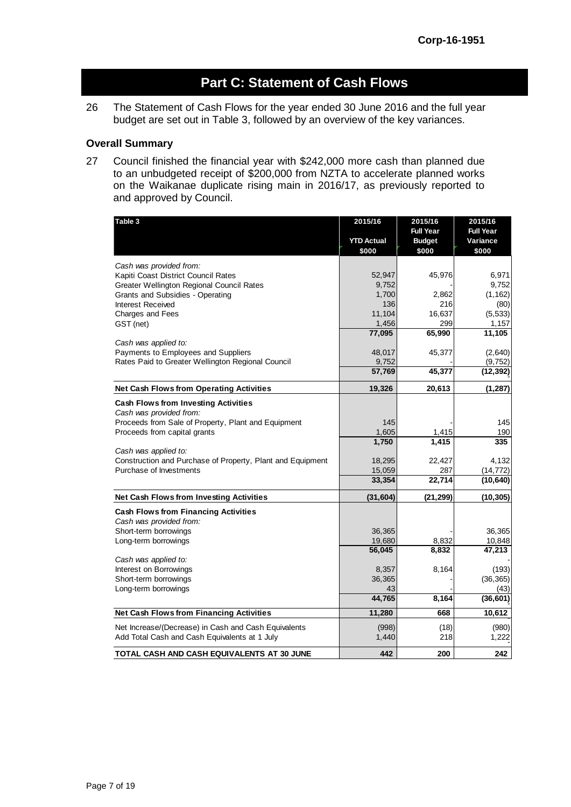# **Part C: Statement of Cash Flows**

26 The Statement of Cash Flows for the year ended 30 June 2016 and the full year budget are set out in Table 3, followed by an overview of the key variances.

#### **Overall Summary**

27 Council finished the financial year with \$242,000 more cash than planned due to an unbudgeted receipt of \$200,000 from NZTA to accelerate planned works on the Waikanae duplicate rising main in 2016/17, as previously reported to and approved by Council.

| Table 3                                                    | 2015/16           | 2015/16          | 2015/16          |
|------------------------------------------------------------|-------------------|------------------|------------------|
|                                                            |                   | <b>Full Year</b> | <b>Full Year</b> |
|                                                            | <b>YTD Actual</b> | <b>Budget</b>    | Variance         |
|                                                            | \$000             | \$000            | \$000            |
| Cash was provided from:                                    |                   |                  |                  |
| Kapiti Coast District Council Rates                        | 52,947            | 45,976           | 6,971            |
| Greater Wellington Regional Council Rates                  | 9,752             |                  | 9,752            |
| Grants and Subsidies - Operating                           | 1,700             | 2,862            | (1, 162)         |
| Interest Received                                          | 136               | 216              | (80)             |
| Charges and Fees                                           | 11,104            | 16,637           | (5, 533)         |
| GST (net)                                                  | 1,456             | 299              | 1,157            |
|                                                            | 77,095            | 65,990           | 11,105           |
| Cash was applied to:                                       |                   |                  |                  |
| Payments to Employees and Suppliers                        | 48,017            | 45,377           | (2,640)          |
| Rates Paid to Greater Wellington Regional Council          | 9,752             |                  | (9, 752)         |
|                                                            | 57,769            | 45,377           | (12, 392)        |
| <b>Net Cash Flows from Operating Activities</b>            | 19,326            | 20,613           | (1, 287)         |
| <b>Cash Flows from Investing Activities</b>                |                   |                  |                  |
| Cash was provided from:                                    |                   |                  |                  |
| Proceeds from Sale of Property, Plant and Equipment        | 145               |                  | 145              |
| Proceeds from capital grants                               | 1,605             | 1,415            | 190              |
|                                                            | 1,750             | 1,415            | 335              |
| Cash was applied to:                                       |                   |                  |                  |
| Construction and Purchase of Property, Plant and Equipment | 18,295            | 22,427           | 4,132            |
| Purchase of Investments                                    | 15,059            | 287              | (14, 772)        |
|                                                            | 33,354            | 22,714           | (10, 640)        |
| Net Cash Flows from Investing Activities                   | (31, 604)         | (21, 299)        | (10, 305)        |
| <b>Cash Flows from Financing Activities</b>                |                   |                  |                  |
| Cash was provided from:                                    |                   |                  |                  |
| Short-term borrowings                                      | 36,365            |                  | 36,365           |
| Long-term borrowings                                       | 19,680            | 8,832            | 10,848           |
|                                                            | 56,045            | 8,832            | 47,213           |
| Cash was applied to:                                       |                   |                  |                  |
| Interest on Borrowings                                     | 8,357             | 8,164            | (193)            |
| Short-term borrowings                                      | 36,365            |                  | (36, 365)        |
| Long-term borrowings                                       | 43                |                  | (43)             |
|                                                            | 44,765            | 8,164            | (36, 601)        |
| <b>Net Cash Flows from Financing Activities</b>            | 11,280            | 668              | 10,612           |
| Net Increase/(Decrease) in Cash and Cash Equivalents       | (998)             | (18)             | (980)            |
| Add Total Cash and Cash Equivalents at 1 July              | 1,440             | 218              | 1,222            |
| TOTAL CASH AND CASH EQUIVALENTS AT 30 JUNE                 | 442               | 200              | 242              |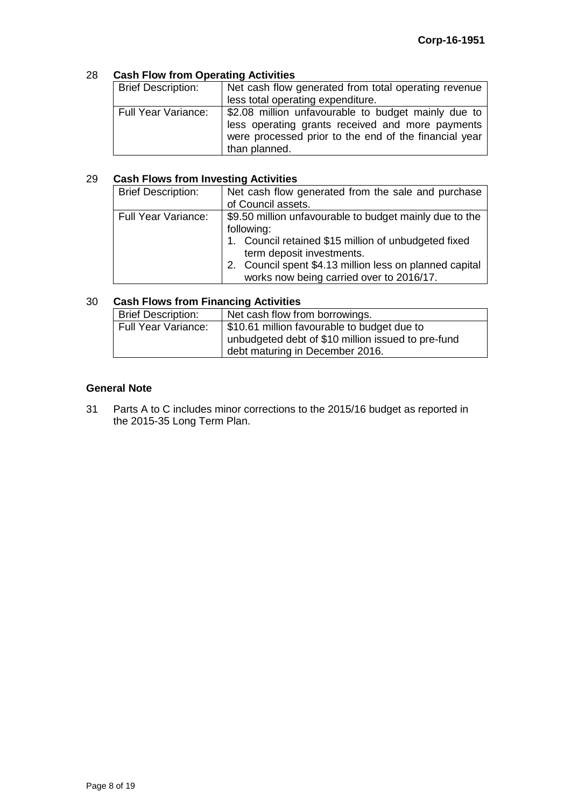## 28 **Cash Flow from Operating Activities**

| <b>Brief Description:</b>  | Net cash flow generated from total operating revenue<br>less total operating expenditure. |  |  |
|----------------------------|-------------------------------------------------------------------------------------------|--|--|
|                            |                                                                                           |  |  |
| <b>Full Year Variance:</b> | \$2.08 million unfavourable to budget mainly due to                                       |  |  |
|                            | less operating grants received and more payments                                          |  |  |
|                            | were processed prior to the end of the financial year                                     |  |  |
|                            | than planned.                                                                             |  |  |

## 29 **Cash Flows from Investing Activities**

| <b>Brief Description:</b>  | Net cash flow generated from the sale and purchase<br>of Council assets. |
|----------------------------|--------------------------------------------------------------------------|
|                            |                                                                          |
| <b>Full Year Variance:</b> | \$9.50 million unfavourable to budget mainly due to the                  |
|                            | following:                                                               |
|                            | 1. Council retained \$15 million of unbudgeted fixed                     |
|                            | term deposit investments.                                                |
|                            | 2. Council spent \$4.13 million less on planned capital                  |
|                            | works now being carried over to 2016/17.                                 |

## 30 **Cash Flows from Financing Activities**

| <b>Brief Description:</b>  | Net cash flow from borrowings.                     |
|----------------------------|----------------------------------------------------|
| <b>Full Year Variance:</b> | \$10.61 million favourable to budget due to        |
|                            | unbudgeted debt of \$10 million issued to pre-fund |
|                            | debt maturing in December 2016.                    |

#### **General Note**

31 Parts A to C includes minor corrections to the 2015/16 budget as reported in the 2015-35 Long Term Plan.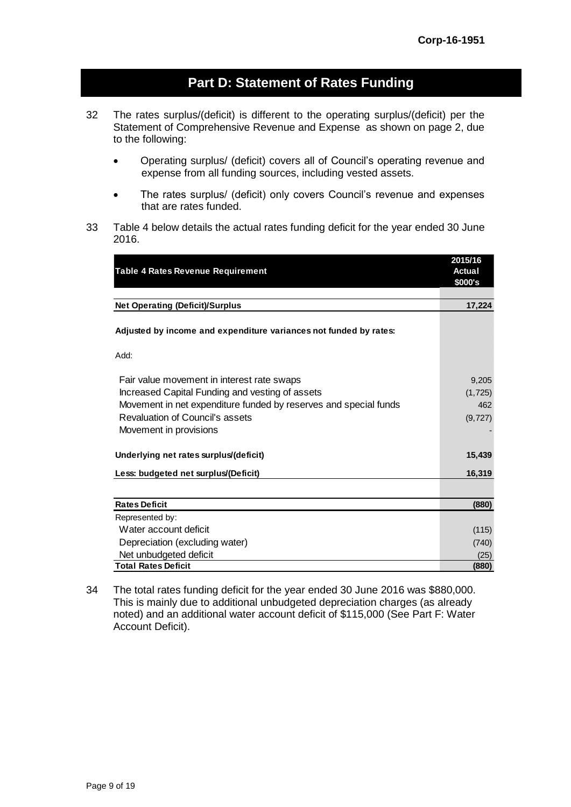# **Part D: Statement of Rates Funding**

- 32 The rates surplus/(deficit) is different to the operating surplus/(deficit) per the Statement of Comprehensive Revenue and Expense as shown on page 2, due to the following:
	- Operating surplus/ (deficit) covers all of Council's operating revenue and expense from all funding sources, including vested assets.
	- The rates surplus/ (deficit) only covers Council's revenue and expenses that are rates funded.
- 33 Table 4 below details the actual rates funding deficit for the year ended 30 June 2016.

| Table 4 Rates Revenue Requirement                                                                                                                                                                                                                                                                                       | 2015/16<br>Actual                                        |
|-------------------------------------------------------------------------------------------------------------------------------------------------------------------------------------------------------------------------------------------------------------------------------------------------------------------------|----------------------------------------------------------|
|                                                                                                                                                                                                                                                                                                                         | \$000's                                                  |
|                                                                                                                                                                                                                                                                                                                         |                                                          |
| <b>Net Operating (Deficit)/Surplus</b>                                                                                                                                                                                                                                                                                  | 17,224                                                   |
| Adjusted by income and expenditure variances not funded by rates:                                                                                                                                                                                                                                                       |                                                          |
| Add:                                                                                                                                                                                                                                                                                                                    |                                                          |
| Fair value movement in interest rate swaps<br>Increased Capital Funding and vesting of assets<br>Movement in net expenditure funded by reserves and special funds<br><b>Revaluation of Council's assets</b><br>Movement in provisions<br>Underlying net rates surplus/(deficit)<br>Less: budgeted net surplus/(Deficit) | 9,205<br>(1, 725)<br>462<br>(9, 727)<br>15,439<br>16,319 |
| <b>Rates Deficit</b>                                                                                                                                                                                                                                                                                                    | (880)                                                    |
| Represented by:                                                                                                                                                                                                                                                                                                         |                                                          |
| Water account deficit                                                                                                                                                                                                                                                                                                   | (115)                                                    |
| Depreciation (excluding water)                                                                                                                                                                                                                                                                                          | (740)                                                    |
| Net unbudgeted deficit                                                                                                                                                                                                                                                                                                  | (25)                                                     |
| <b>Total Rates Deficit</b>                                                                                                                                                                                                                                                                                              | (880)                                                    |

34 The total rates funding deficit for the year ended 30 June 2016 was \$880,000. This is mainly due to additional unbudgeted depreciation charges (as already noted) and an additional water account deficit of \$115,000 (See Part F: Water Account Deficit).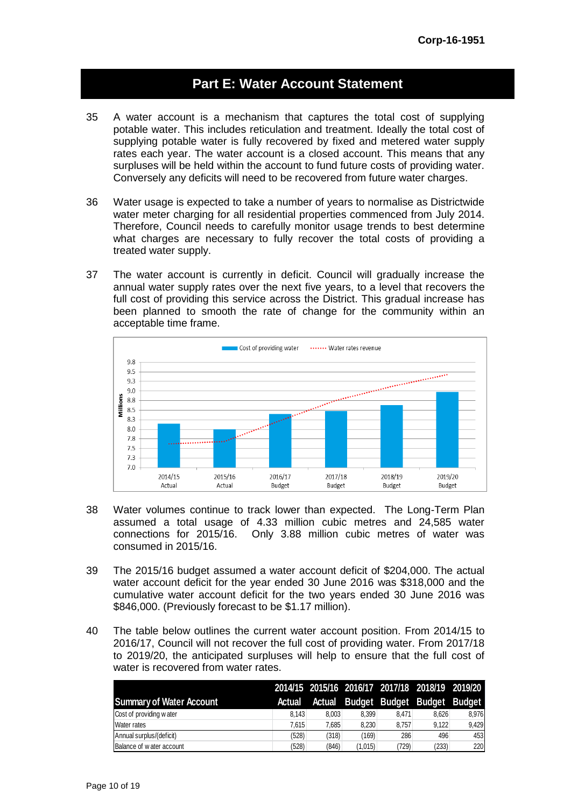# **Part E: Water Account Statement**

- 35 A water account is a mechanism that captures the total cost of supplying potable water. This includes reticulation and treatment. Ideally the total cost of supplying potable water is fully recovered by fixed and metered water supply rates each year. The water account is a closed account. This means that any surpluses will be held within the account to fund future costs of providing water. Conversely any deficits will need to be recovered from future water charges.
- 36 Water usage is expected to take a number of years to normalise as Districtwide water meter charging for all residential properties commenced from July 2014. Therefore, Council needs to carefully monitor usage trends to best determine what charges are necessary to fully recover the total costs of providing a treated water supply.
- 37 The water account is currently in deficit. Council will gradually increase the annual water supply rates over the next five years, to a level that recovers the full cost of providing this service across the District. This gradual increase has been planned to smooth the rate of change for the community within an acceptable time frame.



- 38 Water volumes continue to track lower than expected. The Long-Term Plan assumed a total usage of 4.33 million cubic metres and 24,585 water connections for 2015/16. Only 3.88 million cubic metres of water was consumed in 2015/16.
- 39 The 2015/16 budget assumed a water account deficit of \$204,000. The actual water account deficit for the year ended 30 June 2016 was \$318,000 and the cumulative water account deficit for the two years ended 30 June 2016 was \$846,000. (Previously forecast to be \$1.17 million).
- 40 The table below outlines the current water account position. From 2014/15 to 2016/17, Council will not recover the full cost of providing water. From 2017/18 to 2019/20, the anticipated surpluses will help to ensure that the full cost of water is recovered from water rates.

|                                 |        |       |         |       | 2014/15 2015/16 2016/17 2017/18 2018/19 2019/20 |       |
|---------------------------------|--------|-------|---------|-------|-------------------------------------------------|-------|
| <b>Summary of Water Account</b> | Actual |       |         |       | Actual Budget Budget Budget Budget              |       |
| Cost of providing water         | 8.143  | 8.003 | 8.399   | 8.471 | 8.626                                           | 8.976 |
| Water rates                     | 7.615  | 7.685 | 8.230   | 8.757 | 9.122                                           | 9,429 |
| Annual surplus/(deficit)        | (528)  | (318) | (169)   | 286   | 496                                             | 453   |
| Balance of water account        | (528)  | (846) | (1,015) | (729) | (233)                                           | 220   |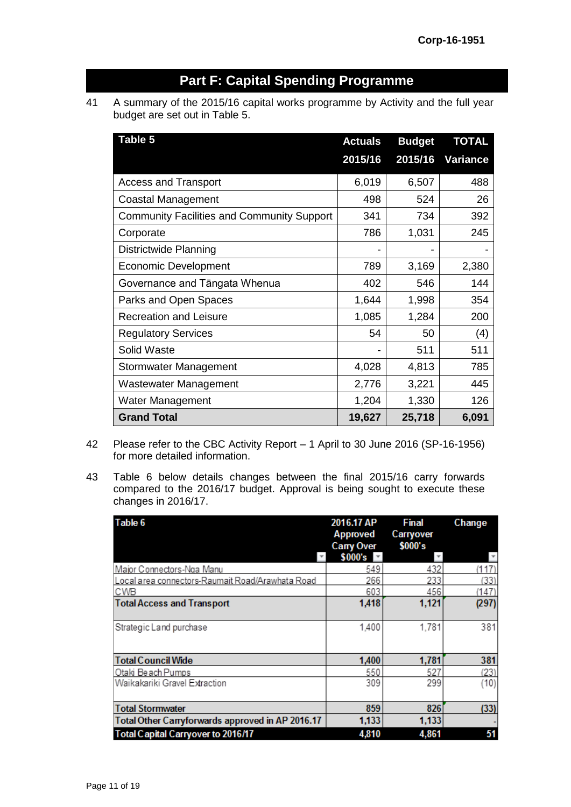# **Part F: Capital Spending Programme**

41 A summary of the 2015/16 capital works programme by Activity and the full year budget are set out in Table 5.

| Table 5                                           | <b>Actuals</b> | <b>Budget</b> | <b>TOTAL</b>    |
|---------------------------------------------------|----------------|---------------|-----------------|
|                                                   | 2015/16        | 2015/16       | <b>Variance</b> |
| <b>Access and Transport</b>                       | 6,019          | 6,507         | 488             |
| Coastal Management                                | 498            | 524           | 26              |
| <b>Community Facilities and Community Support</b> | 341            | 734           | 392             |
| Corporate                                         | 786            | 1,031         | 245             |
| Districtwide Planning                             |                |               |                 |
| <b>Economic Development</b>                       | 789            | 3,169         | 2,380           |
| Governance and Tāngata Whenua                     | 402            | 546           | 144             |
| Parks and Open Spaces                             | 1,644          | 1,998         | 354             |
| <b>Recreation and Leisure</b>                     | 1,085          | 1,284         | 200             |
| <b>Regulatory Services</b>                        | 54             | 50            | (4)             |
| Solid Waste                                       |                | 511           | 511             |
| <b>Stormwater Management</b>                      | 4,028          | 4,813         | 785             |
| Wastewater Management                             | 2,776          | 3,221         | 445             |
| <b>Water Management</b>                           | 1,204          | 1,330         | 126             |
| <b>Grand Total</b>                                | 19,627         | 25,718        | 6,091           |

- 42 Please refer to the CBC Activity Report 1 April to 30 June 2016 (SP-16-1956) for more detailed information.
- 43 Table 6 below details changes between the final 2015/16 carry forwards compared to the 2016/17 budget. Approval is being sought to execute these changes in 2016/17.

| Table 6                                          | 2016.17 AP<br><b>Approved</b><br>Carry Over | <b>Final</b><br>Carryover<br>\$000's | Change |
|--------------------------------------------------|---------------------------------------------|--------------------------------------|--------|
|                                                  | \$000's                                     |                                      |        |
| Major Connectors-Nga Manu                        | 549                                         | 432                                  | (117)  |
| Local area connectors-Raumait Road/Arawhata Road | 266                                         | 233                                  | (33)   |
| CWB                                              | 603                                         | 456                                  | (147)  |
| <b>Total Access and Transport</b>                | 1,418                                       | 1,121                                | (297)  |
| Strategic Land purchase                          | 1,400                                       | 1,781                                | 381    |
| <b>Total Council Wide</b>                        | 1,400                                       | 1,781                                | 381    |
| Otaki Beach Pumps                                | 550                                         | 527                                  | (23)   |
| Waikakariki Gravel Extraction                    | 309                                         | 299                                  | (10)   |
| <b>Total Stormwater</b>                          | 859                                         | 826                                  | (33)   |
| Total Other Carryforwards approved in AP 2016.17 | 1,133                                       | 1,133                                |        |
| <b>Total Capital Carryover to 2016/17</b>        | 4,810                                       | 4,861                                | 51     |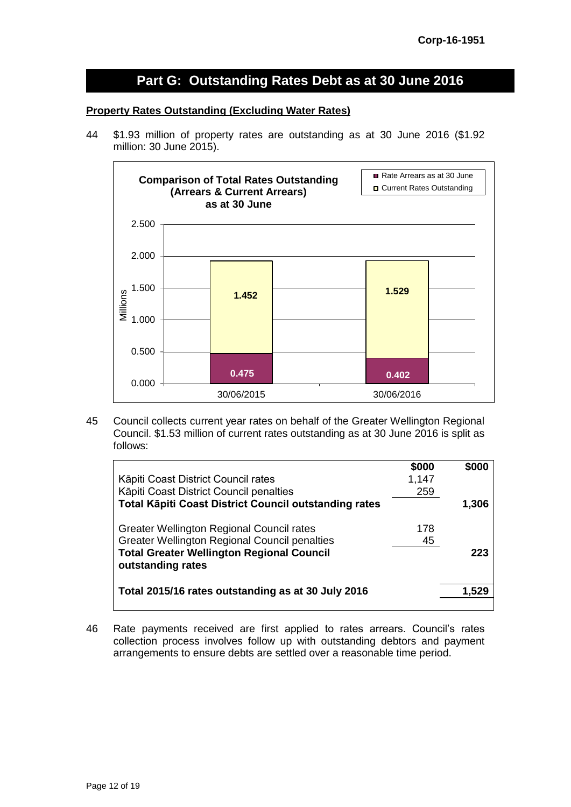# **Part G: Outstanding Rates Debt as at 30 June 2016**

#### **Property Rates Outstanding (Excluding Water Rates)**

44 \$1.93 million of property rates are outstanding as at 30 June 2016 (\$1.92 million: 30 June 2015).



45 Council collects current year rates on behalf of the Greater Wellington Regional Council. \$1.53 million of current rates outstanding as at 30 June 2016 is split as follows:

|                                                              | \$000 | \$000 |
|--------------------------------------------------------------|-------|-------|
| Kāpiti Coast District Council rates                          | 1,147 |       |
| Kāpiti Coast District Council penalties                      | 259   |       |
| <b>Total Käpiti Coast District Council outstanding rates</b> |       | 1,306 |
| Greater Wellington Regional Council rates                    | 178   |       |
| <b>Greater Wellington Regional Council penalties</b>         | 45    |       |
| <b>Total Greater Wellington Regional Council</b>             |       | 223   |
| outstanding rates                                            |       |       |
| Total 2015/16 rates outstanding as at 30 July 2016           |       | 1.529 |
|                                                              |       |       |

46 Rate payments received are first applied to rates arrears. Council's rates collection process involves follow up with outstanding debtors and payment arrangements to ensure debts are settled over a reasonable time period.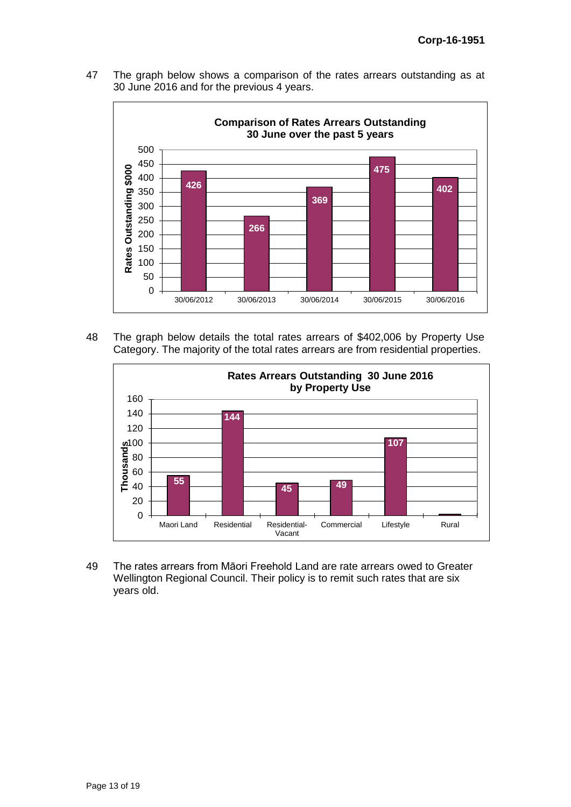The graph below shows a comparison of the rates arrears outstanding as at June 2016 and for the previous 4 years.



 The graph below details the total rates arrears of \$402,006 by Property Use Category. The majority of the total rates arrears are from residential properties.



 The rates arrears from Māori Freehold Land are rate arrears owed to Greater Wellington Regional Council. Their policy is to remit such rates that are six years old.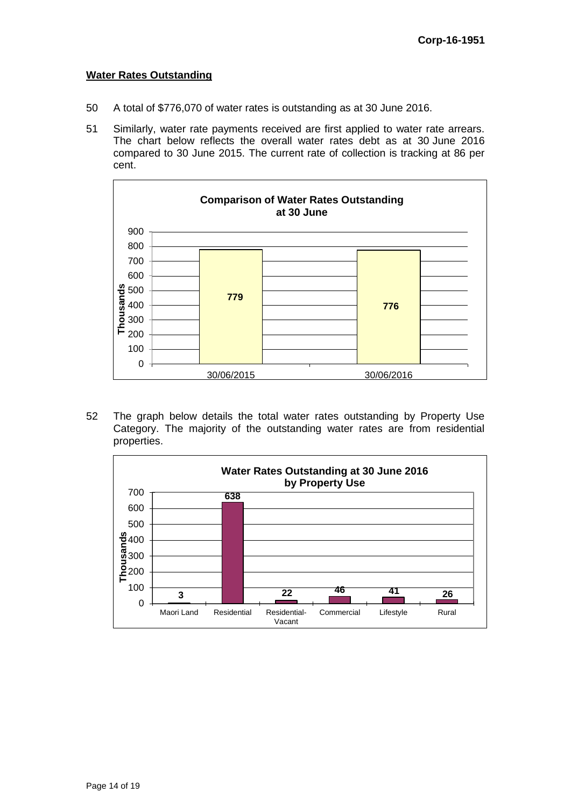#### **Water Rates Outstanding**

- 50 A total of \$776,070 of water rates is outstanding as at 30 June 2016.
- 51 Similarly, water rate payments received are first applied to water rate arrears. The chart below reflects the overall water rates debt as at 30 June 2016 compared to 30 June 2015. The current rate of collection is tracking at 86 per cent.



52 The graph below details the total water rates outstanding by Property Use Category. The majority of the outstanding water rates are from residential properties.

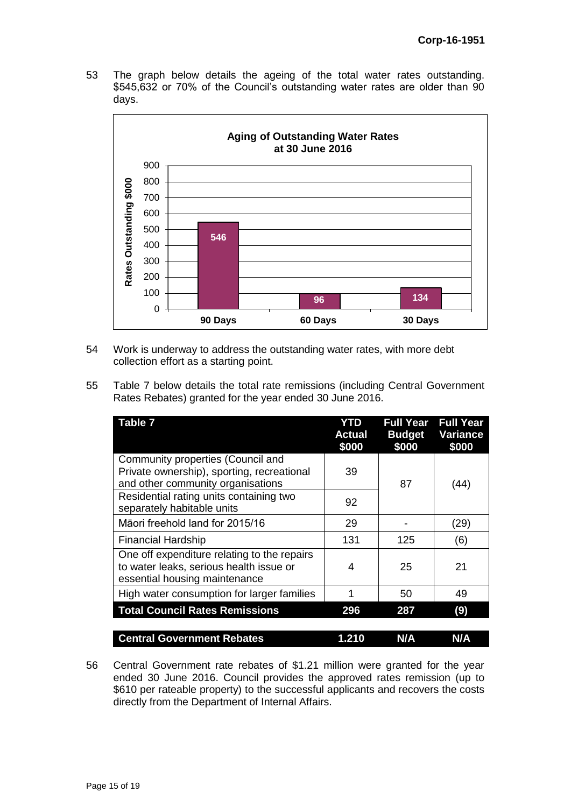53 The graph below details the ageing of the total water rates outstanding. \$545,632 or 70% of the Council's outstanding water rates are older than 90 days.



- 54 Work is underway to address the outstanding water rates, with more debt collection effort as a starting point.
- 55 Table 7 below details the total rate remissions (including Central Government Rates Rebates) granted for the year ended 30 June 2016.

| <b>Table 7</b>                                                                                                          | YTD<br><b>Actual</b><br>\$000 | <b>Full Year</b><br><b>Budget</b><br>\$000 | <b>Full Year</b><br><b>Variance</b><br>\$000 |
|-------------------------------------------------------------------------------------------------------------------------|-------------------------------|--------------------------------------------|----------------------------------------------|
| Community properties (Council and<br>Private ownership), sporting, recreational<br>and other community organisations    | 39                            | 87                                         | (44)                                         |
| Residential rating units containing two<br>separately habitable units                                                   | 92                            |                                            |                                              |
| Māori freehold land for 2015/16                                                                                         | 29                            |                                            | (29)                                         |
| <b>Financial Hardship</b>                                                                                               | 131                           | 125                                        | (6)                                          |
| One off expenditure relating to the repairs<br>to water leaks, serious health issue or<br>essential housing maintenance | 4                             | 25                                         | 21                                           |
| High water consumption for larger families                                                                              |                               | 50                                         | 49                                           |
| <b>Total Council Rates Remissions</b>                                                                                   | 296                           | 287                                        | (9)                                          |
| <b>Central Government Rebates</b>                                                                                       | 1.210                         | N/A                                        | N/A                                          |

56 Central Government rate rebates of \$1.21 million were granted for the year ended 30 June 2016. Council provides the approved rates remission (up to \$610 per rateable property) to the successful applicants and recovers the costs directly from the Department of Internal Affairs.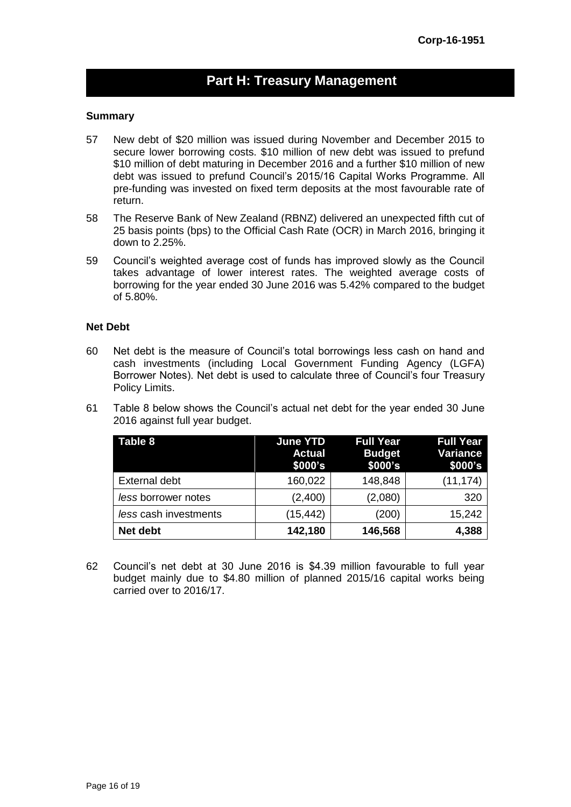# **Part H: Treasury Management**

#### **Summary**

- 57 New debt of \$20 million was issued during November and December 2015 to secure lower borrowing costs. \$10 million of new debt was issued to prefund \$10 million of debt maturing in December 2016 and a further \$10 million of new debt was issued to prefund Council's 2015/16 Capital Works Programme. All pre-funding was invested on fixed term deposits at the most favourable rate of return.
- 58 The Reserve Bank of New Zealand (RBNZ) delivered an unexpected fifth cut of 25 basis points (bps) to the Official Cash Rate (OCR) in March 2016, bringing it down to 2.25%.
- 59 Council's weighted average cost of funds has improved slowly as the Council takes advantage of lower interest rates. The weighted average costs of borrowing for the year ended 30 June 2016 was 5.42% compared to the budget of 5.80%.

#### **Net Debt**

- 60 Net debt is the measure of Council's total borrowings less cash on hand and cash investments (including Local Government Funding Agency (LGFA) Borrower Notes). Net debt is used to calculate three of Council's four Treasury Policy Limits.
- 61 Table 8 below shows the Council's actual net debt for the year ended 30 June 2016 against full year budget.

| Table 8               | <b>June YTD</b><br><b>Actual</b><br>\$000's | <b>Full Year</b><br><b>Budget</b><br>\$000's | <b>Full Year</b><br><b>Variance</b><br>\$000's |
|-----------------------|---------------------------------------------|----------------------------------------------|------------------------------------------------|
| <b>External debt</b>  | 160,022                                     | 148,848                                      | (11, 174)                                      |
| less borrower notes   | (2,400)                                     | (2,080)                                      | 320                                            |
| less cash investments | (15,442)                                    | (200)                                        | 15,242                                         |
| Net debt              | 142,180                                     | 146,568                                      | 4,388                                          |

62 Council's net debt at 30 June 2016 is \$4.39 million favourable to full year budget mainly due to \$4.80 million of planned 2015/16 capital works being carried over to 2016/17.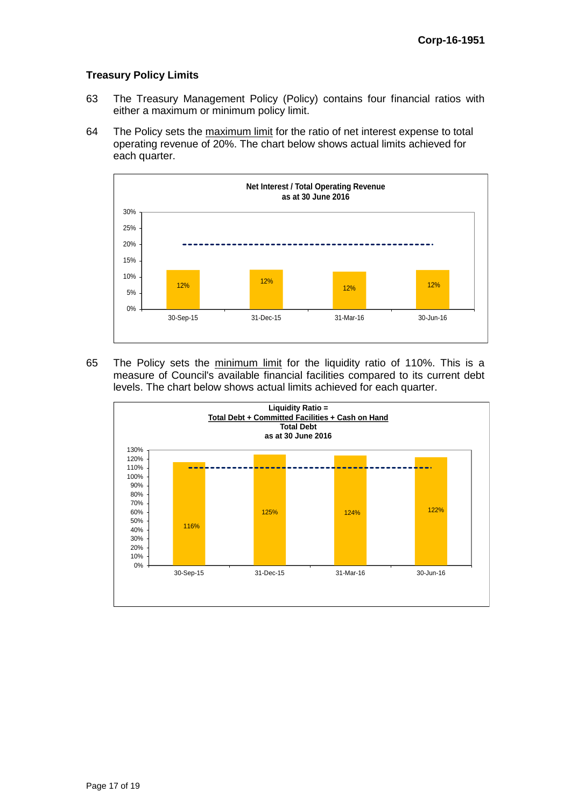#### **Treasury Policy Limits**

- 63 The Treasury Management Policy (Policy) contains four financial ratios with either a maximum or minimum policy limit.
- 64 The Policy sets the maximum limit for the ratio of net interest expense to total operating revenue of 20%. The chart below shows actual limits achieved for each quarter.



65 The Policy sets the minimum limit for the liquidity ratio of 110%. This is a measure of Council's available financial facilities compared to its current debt levels. The chart below shows actual limits achieved for each quarter.

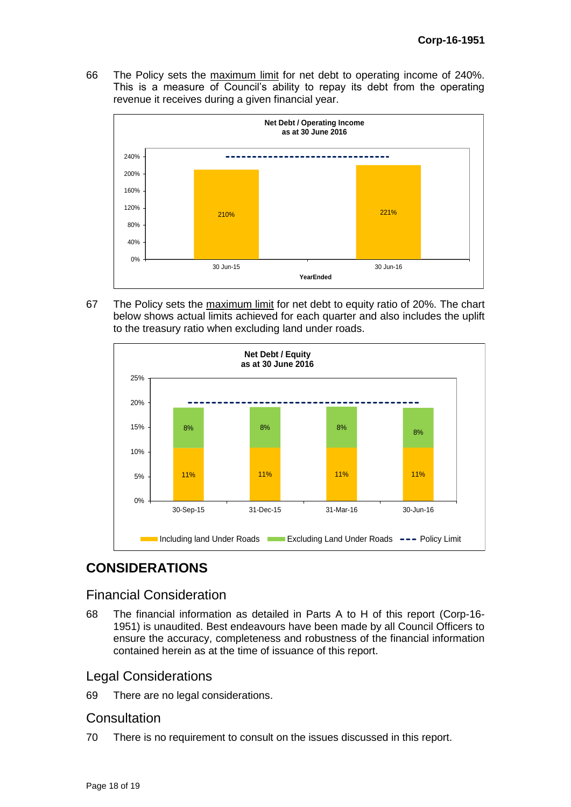66 The Policy sets the maximum limit for net debt to operating income of 240%. This is a measure of Council's ability to repay its debt from the operating revenue it receives during a given financial year.



67 The Policy sets the maximum limit for net debt to equity ratio of 20%. The chart below shows actual limits achieved for each quarter and also includes the uplift to the treasury ratio when excluding land under roads.



# **CONSIDERATIONS**

# Financial Consideration

68 The financial information as detailed in Parts A to H of this report (Corp-16- 1951) is unaudited. Best endeavours have been made by all Council Officers to ensure the accuracy, completeness and robustness of the financial information contained herein as at the time of issuance of this report.

# Legal Considerations

69 There are no legal considerations.

## **Consultation**

70 There is no requirement to consult on the issues discussed in this report.